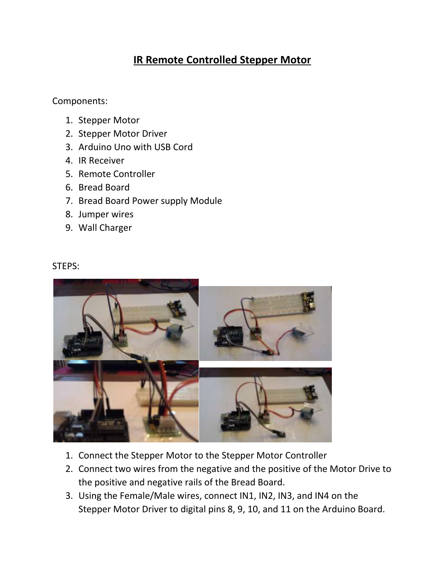## **IR Remote Controlled Stepper Motor**

Components:

- 1. Stepper Motor
- 2. Stepper Motor Driver
- 3. Arduino Uno with USB Cord
- 4. IR Receiver
- 5. Remote Controller
- 6. Bread Board
- 7. Bread Board Power supply Module
- 8. Jumper wires
- 9. Wall Charger

## STEPS:



- 1. Connect the Stepper Motor to the Stepper Motor Controller
- 2. Connect two wires from the negative and the positive of the Motor Drive to the positive and negative rails of the Bread Board.
- 3. Using the Female/Male wires, connect IN1, IN2, IN3, and IN4 on the Stepper Motor Driver to digital pins 8, 9, 10, and 11 on the Arduino Board.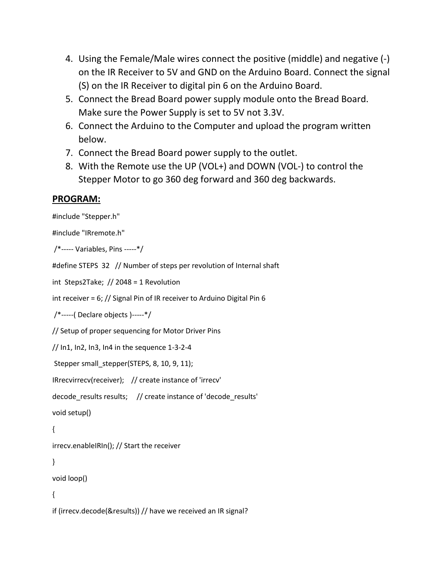- 4. Using the Female/Male wires connect the positive (middle) and negative (-) on the IR Receiver to 5V and GND on the Arduino Board. Connect the signal (S) on the IR Receiver to digital pin 6 on the Arduino Board.
- 5. Connect the Bread Board power supply module onto the Bread Board. Make sure the Power Supply is set to 5V not 3.3V.
- 6. Connect the Arduino to the Computer and upload the program written below.
- 7. Connect the Bread Board power supply to the outlet.
- 8. With the Remote use the UP (VOL+) and DOWN (VOL-) to control the Stepper Motor to go 360 deg forward and 360 deg backwards.

## **PROGRAM:**

```
#include "Stepper.h"
#include "IRremote.h"
/*----- Variables, Pins -----*/
#define STEPS 32 // Number of steps per revolution of Internal shaft
int Steps2Take; // 2048 = 1 Revolution
int receiver = 6; // Signal Pin of IR receiver to Arduino Digital Pin 6
/*-----( Declare objects )-----*/
// Setup of proper sequencing for Motor Driver Pins
// In1, In2, In3, In4 in the sequence 1-3-2-4
Stepper small_stepper(STEPS, 8, 10, 9, 11);
IRrecvirrecv(receiver); // create instance of 'irrecv'
decode results results; // create instance of 'decode results'
void setup()
{ 
irrecv.enableIRIn(); // Start the receiver
}
void loop()
{
if (irrecv.decode(&results)) // have we received an IR signal?
```